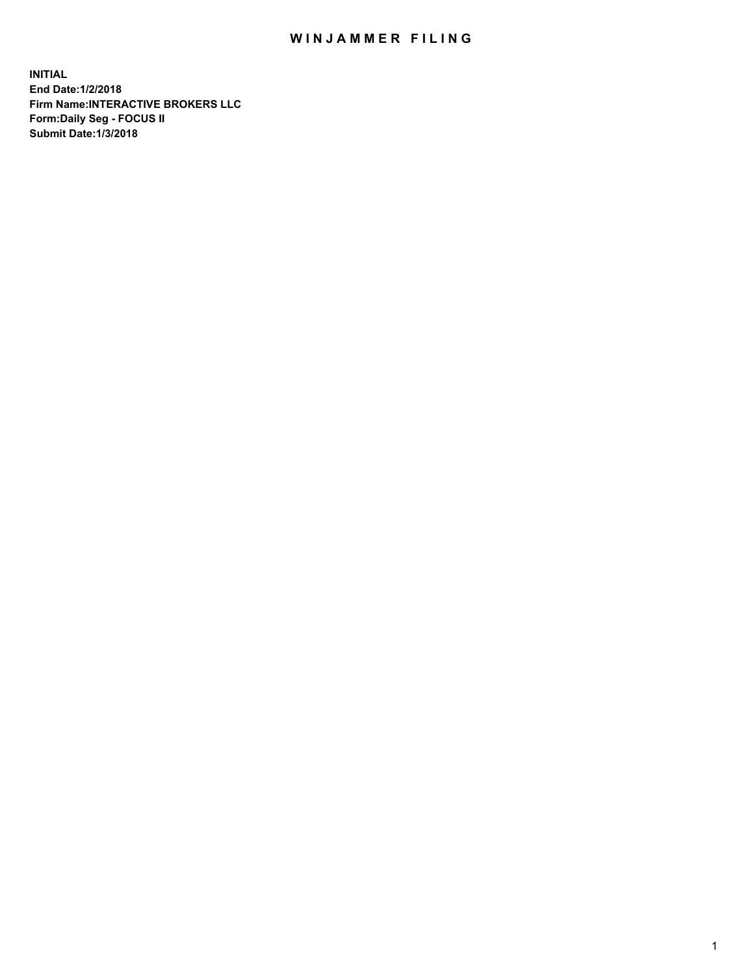## WIN JAMMER FILING

**INITIAL End Date:1/2/2018 Firm Name:INTERACTIVE BROKERS LLC Form:Daily Seg - FOCUS II Submit Date:1/3/2018**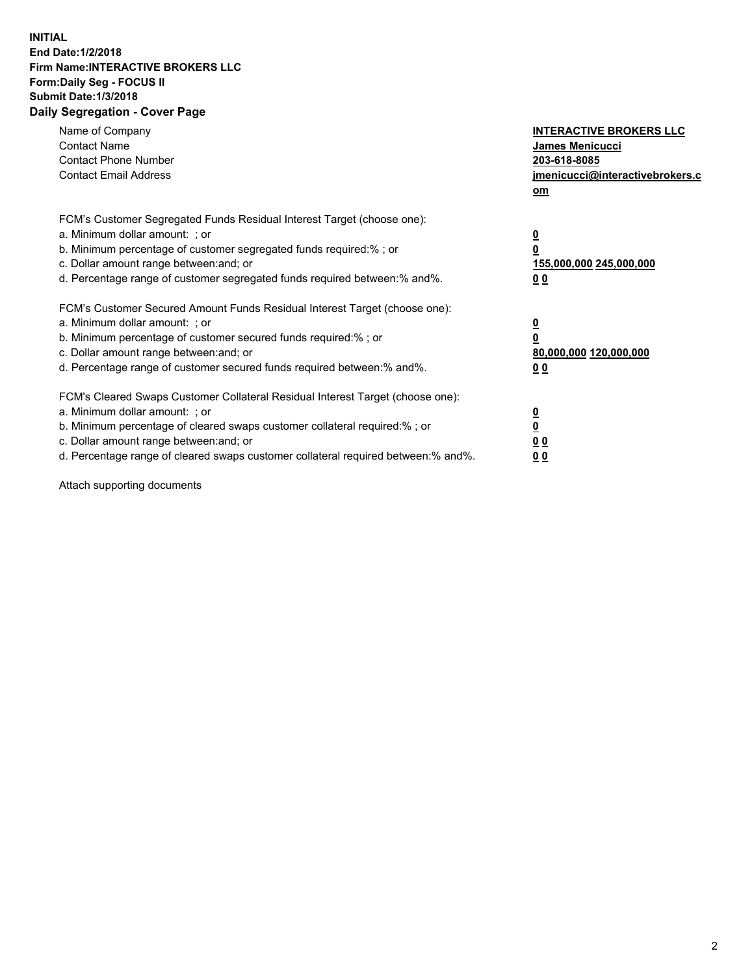## **INITIAL End Date:1/2/2018 Firm Name:INTERACTIVE BROKERS LLC Form:Daily Seg - FOCUS II Submit Date:1/3/2018 Daily Segregation - Cover Page**

| Name of Company<br><b>Contact Name</b><br><b>Contact Phone Number</b><br><b>Contact Email Address</b>                                                                                                                                                                                                                          | <b>INTERACTIVE BROKERS LLC</b><br>James Menicucci<br>203-618-8085<br>jmenicucci@interactivebrokers.c<br>om |
|--------------------------------------------------------------------------------------------------------------------------------------------------------------------------------------------------------------------------------------------------------------------------------------------------------------------------------|------------------------------------------------------------------------------------------------------------|
| FCM's Customer Segregated Funds Residual Interest Target (choose one):<br>a. Minimum dollar amount: ; or<br>b. Minimum percentage of customer segregated funds required:% ; or<br>c. Dollar amount range between: and; or<br>d. Percentage range of customer segregated funds required between:% and%.                         | $\overline{\mathbf{0}}$<br>0<br>155,000,000 245,000,000<br>0 <sub>0</sub>                                  |
| FCM's Customer Secured Amount Funds Residual Interest Target (choose one):<br>a. Minimum dollar amount: ; or<br>b. Minimum percentage of customer secured funds required:%; or<br>c. Dollar amount range between: and; or<br>d. Percentage range of customer secured funds required between: % and %.                          | $\overline{\mathbf{0}}$<br>0<br>80,000,000 120,000,000<br>0 <sub>0</sub>                                   |
| FCM's Cleared Swaps Customer Collateral Residual Interest Target (choose one):<br>a. Minimum dollar amount: ; or<br>b. Minimum percentage of cleared swaps customer collateral required:% ; or<br>c. Dollar amount range between: and; or<br>d. Percentage range of cleared swaps customer collateral required between:% and%. | $\overline{\mathbf{0}}$<br>$\overline{\mathbf{0}}$<br>0 <sub>0</sub><br>0 <sub>0</sub>                     |

Attach supporting documents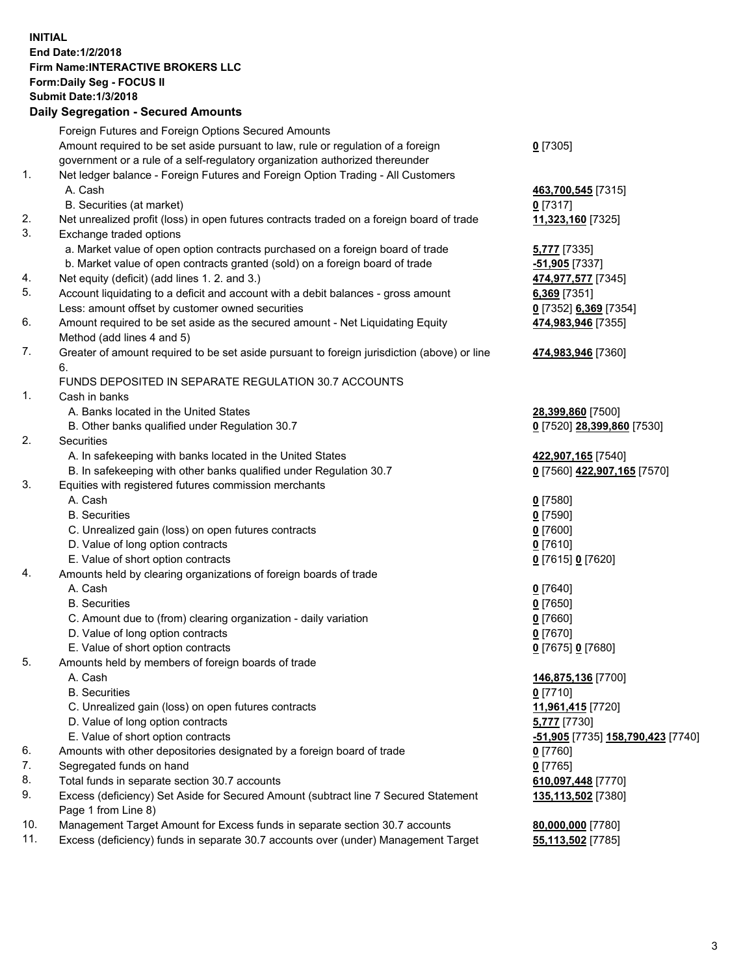## **INITIAL End Date:1/2/2018 Firm Name:INTERACTIVE BROKERS LLC Form:Daily Seg - FOCUS II Submit Date:1/3/2018 Daily Segregation - Secured Amounts**

| Daily Jegregation - Jeculed Aniounts                                                        |                                                                                                                                                                                                                                                                                                                                                                                                                                                                                                                    |
|---------------------------------------------------------------------------------------------|--------------------------------------------------------------------------------------------------------------------------------------------------------------------------------------------------------------------------------------------------------------------------------------------------------------------------------------------------------------------------------------------------------------------------------------------------------------------------------------------------------------------|
| Foreign Futures and Foreign Options Secured Amounts                                         |                                                                                                                                                                                                                                                                                                                                                                                                                                                                                                                    |
| Amount required to be set aside pursuant to law, rule or regulation of a foreign            | $0$ [7305]                                                                                                                                                                                                                                                                                                                                                                                                                                                                                                         |
| government or a rule of a self-regulatory organization authorized thereunder                |                                                                                                                                                                                                                                                                                                                                                                                                                                                                                                                    |
| Net ledger balance - Foreign Futures and Foreign Option Trading - All Customers             |                                                                                                                                                                                                                                                                                                                                                                                                                                                                                                                    |
| A. Cash                                                                                     | 463,700,545 [7315]                                                                                                                                                                                                                                                                                                                                                                                                                                                                                                 |
| B. Securities (at market)                                                                   | $0$ [7317]                                                                                                                                                                                                                                                                                                                                                                                                                                                                                                         |
| Net unrealized profit (loss) in open futures contracts traded on a foreign board of trade   | 11,323,160 [7325]                                                                                                                                                                                                                                                                                                                                                                                                                                                                                                  |
| Exchange traded options                                                                     |                                                                                                                                                                                                                                                                                                                                                                                                                                                                                                                    |
| a. Market value of open option contracts purchased on a foreign board of trade              | 5,777 [7335]                                                                                                                                                                                                                                                                                                                                                                                                                                                                                                       |
| b. Market value of open contracts granted (sold) on a foreign board of trade                | $-51,905$ [7337]                                                                                                                                                                                                                                                                                                                                                                                                                                                                                                   |
| Net equity (deficit) (add lines 1.2. and 3.)                                                | 474,977,577 [7345]                                                                                                                                                                                                                                                                                                                                                                                                                                                                                                 |
| Account liquidating to a deficit and account with a debit balances - gross amount           | 6,369 [7351]                                                                                                                                                                                                                                                                                                                                                                                                                                                                                                       |
| Less: amount offset by customer owned securities                                            | 0 [7352] 6,369 [7354]                                                                                                                                                                                                                                                                                                                                                                                                                                                                                              |
| Amount required to be set aside as the secured amount - Net Liquidating Equity              | 474,983,946 [7355]                                                                                                                                                                                                                                                                                                                                                                                                                                                                                                 |
| Method (add lines 4 and 5)                                                                  |                                                                                                                                                                                                                                                                                                                                                                                                                                                                                                                    |
| Greater of amount required to be set aside pursuant to foreign jurisdiction (above) or line | 474,983,946 [7360]                                                                                                                                                                                                                                                                                                                                                                                                                                                                                                 |
| 6.                                                                                          |                                                                                                                                                                                                                                                                                                                                                                                                                                                                                                                    |
| FUNDS DEPOSITED IN SEPARATE REGULATION 30.7 ACCOUNTS                                        |                                                                                                                                                                                                                                                                                                                                                                                                                                                                                                                    |
| Cash in banks                                                                               |                                                                                                                                                                                                                                                                                                                                                                                                                                                                                                                    |
| A. Banks located in the United States                                                       | 28,399,860 [7500]                                                                                                                                                                                                                                                                                                                                                                                                                                                                                                  |
| B. Other banks qualified under Regulation 30.7                                              | 0 [7520] 28,399,860 [7530]                                                                                                                                                                                                                                                                                                                                                                                                                                                                                         |
| Securities                                                                                  |                                                                                                                                                                                                                                                                                                                                                                                                                                                                                                                    |
| A. In safekeeping with banks located in the United States                                   | 422,907,165 [7540]                                                                                                                                                                                                                                                                                                                                                                                                                                                                                                 |
| B. In safekeeping with other banks qualified under Regulation 30.7                          | 0 [7560] 422,907,165 [7570]                                                                                                                                                                                                                                                                                                                                                                                                                                                                                        |
| Equities with registered futures commission merchants                                       |                                                                                                                                                                                                                                                                                                                                                                                                                                                                                                                    |
| A. Cash                                                                                     | $0$ [7580]                                                                                                                                                                                                                                                                                                                                                                                                                                                                                                         |
| <b>B.</b> Securities                                                                        | $0$ [7590]                                                                                                                                                                                                                                                                                                                                                                                                                                                                                                         |
| C. Unrealized gain (loss) on open futures contracts                                         | $0$ [7600]                                                                                                                                                                                                                                                                                                                                                                                                                                                                                                         |
| D. Value of long option contracts                                                           | $0$ [7610]                                                                                                                                                                                                                                                                                                                                                                                                                                                                                                         |
| E. Value of short option contracts                                                          | 0 [7615] 0 [7620]                                                                                                                                                                                                                                                                                                                                                                                                                                                                                                  |
| Amounts held by clearing organizations of foreign boards of trade                           |                                                                                                                                                                                                                                                                                                                                                                                                                                                                                                                    |
| A. Cash                                                                                     | $0$ [7640]                                                                                                                                                                                                                                                                                                                                                                                                                                                                                                         |
|                                                                                             | $0$ [7650]                                                                                                                                                                                                                                                                                                                                                                                                                                                                                                         |
| C. Amount due to (from) clearing organization - daily variation                             | $0$ [7660]                                                                                                                                                                                                                                                                                                                                                                                                                                                                                                         |
|                                                                                             | $0$ [7670]                                                                                                                                                                                                                                                                                                                                                                                                                                                                                                         |
|                                                                                             | 0 [7675] 0 [7680]                                                                                                                                                                                                                                                                                                                                                                                                                                                                                                  |
| Amounts held by members of foreign boards of trade                                          |                                                                                                                                                                                                                                                                                                                                                                                                                                                                                                                    |
|                                                                                             | 146,875,136 [7700]                                                                                                                                                                                                                                                                                                                                                                                                                                                                                                 |
|                                                                                             | $0$ [7710]                                                                                                                                                                                                                                                                                                                                                                                                                                                                                                         |
|                                                                                             | 11,961,415 [7720]                                                                                                                                                                                                                                                                                                                                                                                                                                                                                                  |
|                                                                                             | 5,777 [7730]                                                                                                                                                                                                                                                                                                                                                                                                                                                                                                       |
|                                                                                             | -51,905 [7735] 158,790,423 [7740]                                                                                                                                                                                                                                                                                                                                                                                                                                                                                  |
|                                                                                             | $0$ [7760]                                                                                                                                                                                                                                                                                                                                                                                                                                                                                                         |
|                                                                                             | $0$ [7765]                                                                                                                                                                                                                                                                                                                                                                                                                                                                                                         |
|                                                                                             | 610,097,448 [7770]                                                                                                                                                                                                                                                                                                                                                                                                                                                                                                 |
| Page 1 from Line 8)                                                                         | 135,113,502 [7380]                                                                                                                                                                                                                                                                                                                                                                                                                                                                                                 |
| Management Target Amount for Excess funds in separate section 30.7 accounts                 | 80,000,000 [7780]                                                                                                                                                                                                                                                                                                                                                                                                                                                                                                  |
| Excess (deficiency) funds in separate 30.7 accounts over (under) Management Target          | 55,113,502 [7785]                                                                                                                                                                                                                                                                                                                                                                                                                                                                                                  |
|                                                                                             | <b>B.</b> Securities<br>D. Value of long option contracts<br>E. Value of short option contracts<br>A. Cash<br><b>B.</b> Securities<br>C. Unrealized gain (loss) on open futures contracts<br>D. Value of long option contracts<br>E. Value of short option contracts<br>Amounts with other depositories designated by a foreign board of trade<br>Segregated funds on hand<br>Total funds in separate section 30.7 accounts<br>Excess (deficiency) Set Aside for Secured Amount (subtract line 7 Secured Statement |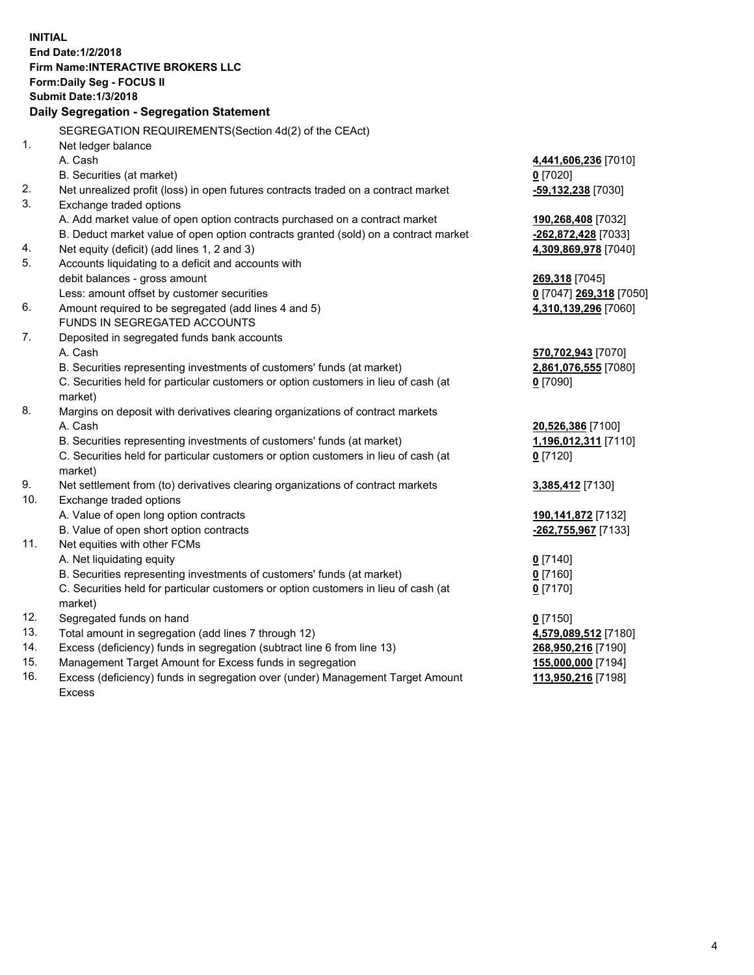**INITIAL End Date:1/2/2018 Firm Name:INTERACTIVE BROKERS LLC Form:Daily Seg - FOCUS II Submit Date:1/3/2018 Daily Segregation - Segregation Statement** SEGREGATION REQUIREMENTS(Section 4d(2) of the CEAct) 1. Net ledger balance A. Cash **4,441,606,236** [7010] B. Securities (at market) **0** [7020] 2. Net unrealized profit (loss) in open futures contracts traded on a contract market **-59,132,238** [7030] 3. Exchange traded options A. Add market value of open option contracts purchased on a contract market **190,268,408** [7032] B. Deduct market value of open option contracts granted (sold) on a contract market **-262,872,428** [7033] 4. Net equity (deficit) (add lines 1, 2 and 3) **4,309,869,978** [7040] 5. Accounts liquidating to a deficit and accounts with debit balances - gross amount **269,318** [7045] Less: amount offset by customer securities **0** [7047] **269,318** [7050] 6. Amount required to be segregated (add lines 4 and 5) **4,310,139,296** [7060] FUNDS IN SEGREGATED ACCOUNTS 7. Deposited in segregated funds bank accounts A. Cash **570,702,943** [7070] B. Securities representing investments of customers' funds (at market) **2,861,076,555** [7080] C. Securities held for particular customers or option customers in lieu of cash (at market) **0** [7090] 8. Margins on deposit with derivatives clearing organizations of contract markets A. Cash **20,526,386** [7100] B. Securities representing investments of customers' funds (at market) **1,196,012,311** [7110] C. Securities held for particular customers or option customers in lieu of cash (at market) **0** [7120] 9. Net settlement from (to) derivatives clearing organizations of contract markets **3,385,412** [7130] 10. Exchange traded options A. Value of open long option contracts **190,141,872** [7132] B. Value of open short option contracts **-262,755,967** [7133] 11. Net equities with other FCMs A. Net liquidating equity **0** [7140] B. Securities representing investments of customers' funds (at market) **0** [7160] C. Securities held for particular customers or option customers in lieu of cash (at market) **0** [7170] 12. Segregated funds on hand **0** [7150] 13. Total amount in segregation (add lines 7 through 12) **4,579,089,512** [7180] 14. Excess (deficiency) funds in segregation (subtract line 6 from line 13) **268,950,216** [7190] 15. Management Target Amount for Excess funds in segregation **155,000,000** [7194] **113,950,216** [7198]

16. Excess (deficiency) funds in segregation over (under) Management Target Amount Excess